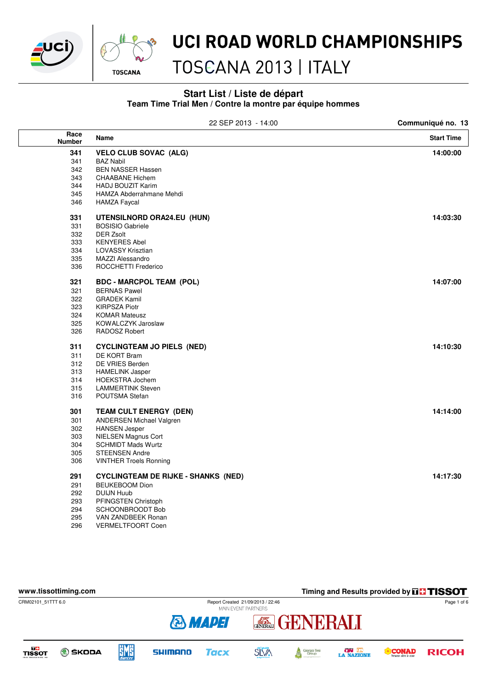



# TOSCANA 2013 | ITALY

#### **Start List / Liste de départ Team Time Trial Men / Contre la montre par équipe hommes**

|                       | 22 SEP 2013 - 14:00                        | Communiqué no. 13 |
|-----------------------|--------------------------------------------|-------------------|
| Race<br><b>Number</b> | Name                                       | <b>Start Time</b> |
| 341                   | <b>VELO CLUB SOVAC (ALG)</b>               | 14:00:00          |
| 341                   | <b>BAZ Nabil</b>                           |                   |
| 342                   | <b>BEN NASSER Hassen</b>                   |                   |
| 343                   | <b>CHAABANE Hichem</b>                     |                   |
| 344                   | <b>HADJ BOUZIT Karim</b>                   |                   |
| 345                   | HAMZA Abderrahmane Mehdi                   |                   |
| 346                   | <b>HAMZA Faycal</b>                        |                   |
| 331                   | UTENSILNORD ORA24.EU (HUN)                 | 14:03:30          |
| 331                   | <b>BOSISIO Gabriele</b>                    |                   |
| 332                   | DER Zsolt                                  |                   |
| 333                   | <b>KENYERES Abel</b>                       |                   |
| 334                   | <b>LOVASSY Krisztian</b>                   |                   |
| 335                   | <b>MAZZI Alessandro</b>                    |                   |
| 336                   | ROCCHETTI Frederico                        |                   |
| 321                   | <b>BDC - MARCPOL TEAM (POL)</b>            | 14:07:00          |
| 321                   | <b>BERNAS Pawel</b>                        |                   |
| 322                   | <b>GRADEK Kamil</b>                        |                   |
| 323                   | <b>KIRPSZA Piotr</b>                       |                   |
| 324                   | <b>KOMAR Mateusz</b>                       |                   |
| 325                   | KOWALCZYK Jaroslaw                         |                   |
| 326                   | RADOSZ Robert                              |                   |
| 311                   | <b>CYCLINGTEAM JO PIELS (NED)</b>          | 14:10:30          |
| 311                   | DE KORT Bram                               |                   |
| 312                   | DE VRIES Berden                            |                   |
| 313                   | <b>HAMELINK Jasper</b>                     |                   |
| 314                   | <b>HOEKSTRA Jochem</b>                     |                   |
| 315                   | <b>LAMMERTINK Steven</b>                   |                   |
| 316                   | POUTSMA Stefan                             |                   |
| 301                   | <b>TEAM CULT ENERGY (DEN)</b>              | 14:14:00          |
| 301                   | <b>ANDERSEN Michael Valgren</b>            |                   |
| 302                   | <b>HANSEN Jesper</b>                       |                   |
| 303                   | <b>NIELSEN Magnus Cort</b>                 |                   |
| 304                   | <b>SCHMIDT Mads Wurtz</b>                  |                   |
| 305                   | <b>STEENSEN Andre</b>                      |                   |
| 306                   | <b>VINTHER Troels Ronning</b>              |                   |
| 291                   | <b>CYCLINGTEAM DE RIJKE - SHANKS (NED)</b> | 14:17:30          |
| 291                   | <b>BEUKEBOOM Dion</b>                      |                   |
| 292                   | <b>DUIJN Huub</b>                          |                   |
| 293                   | PFINGSTEN Christoph                        |                   |
| 294                   | SCHOONBROODT Bob                           |                   |

295 VAN ZANDBEEK Ronan 296 VERMELTFOORT Coen

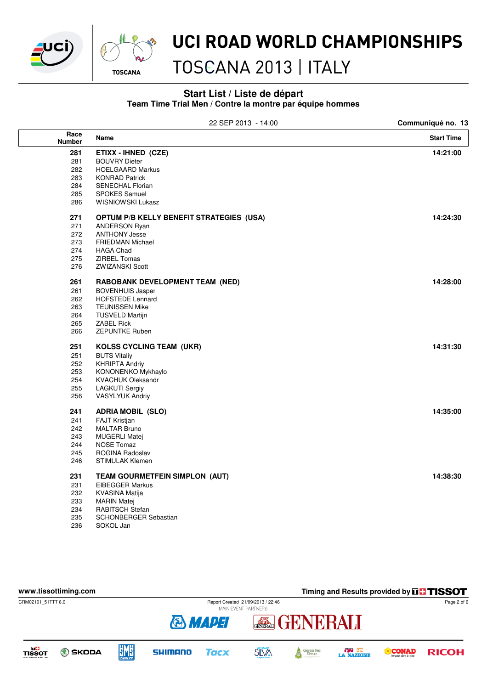



# TOSCANA 2013 | ITALY

#### **Start List / Liste de départ Team Time Trial Men / Contre la montre par équipe hommes**

|                       | 22 SEP 2013 - 14:00                             | Communiqué no. 13 |
|-----------------------|-------------------------------------------------|-------------------|
| Race<br><b>Number</b> | Name                                            | <b>Start Time</b> |
| 281                   | ETIXX - IHNED (CZE)                             | 14:21:00          |
| 281                   | <b>BOUVRY Dieter</b>                            |                   |
| 282                   | <b>HOELGAARD Markus</b>                         |                   |
| 283                   | <b>KONRAD Patrick</b>                           |                   |
| 284                   | <b>SENECHAL Florian</b>                         |                   |
| 285                   | <b>SPOKES Samuel</b>                            |                   |
| 286                   | <b>WISNIOWSKI Lukasz</b>                        |                   |
| 271                   | <b>OPTUM P/B KELLY BENEFIT STRATEGIES (USA)</b> | 14:24:30          |
| 271                   | <b>ANDERSON Ryan</b>                            |                   |
| 272                   | <b>ANTHONY Jesse</b>                            |                   |
| 273                   | <b>FRIEDMAN Michael</b>                         |                   |
| 274                   | <b>HAGA Chad</b>                                |                   |
| 275                   | ZIRBEL Tomas                                    |                   |
| 276                   | <b>ZWIZANSKI Scott</b>                          |                   |
| 261                   | RABOBANK DEVELOPMENT TEAM (NED)                 | 14:28:00          |
| 261                   | <b>BOVENHUIS Jasper</b>                         |                   |
| 262                   | <b>HOFSTEDE Lennard</b>                         |                   |
| 263                   | <b>TEUNISSEN Mike</b>                           |                   |
| 264                   | <b>TUSVELD Martijn</b>                          |                   |
| 265                   | <b>ZABEL Rick</b>                               |                   |
| 266                   | <b>ZEPUNTKE Ruben</b>                           |                   |
| 251                   | <b>KOLSS CYCLING TEAM (UKR)</b>                 | 14:31:30          |
| 251                   | <b>BUTS Vitaliy</b>                             |                   |
| 252                   | <b>KHRIPTA Andriy</b>                           |                   |
| 253                   | KONONENKO Mykhaylo                              |                   |
| 254                   | <b>KVACHUK Oleksandr</b>                        |                   |
| 255                   | <b>LAGKUTI Sergiy</b>                           |                   |
| 256                   | <b>VASYLYUK Andriy</b>                          |                   |
| 241                   | <b>ADRIA MOBIL (SLO)</b>                        | 14:35:00          |
| 241                   | FAJT Kristjan                                   |                   |
| 242                   | <b>MALTAR Bruno</b>                             |                   |
| 243                   | <b>MUGERLI Matej</b>                            |                   |
| 244                   | <b>NOSE Tomaz</b>                               |                   |
| 245                   | ROGINA Radoslav                                 |                   |
| 246                   | STIMULAK Klemen                                 |                   |
| 231                   | TEAM GOURMETFEIN SIMPLON (AUT)                  | 14:38:30          |
| 231                   | <b>EIBEGGER Markus</b>                          |                   |
| 232                   | <b>KVASINA Matija</b>                           |                   |
| 233                   | <b>MARIN Matej</b>                              |                   |
| 234                   | RABITSCH Stefan                                 |                   |
| 235                   | SCHONBERGER Sebastian                           |                   |

236 SOKOL Jan

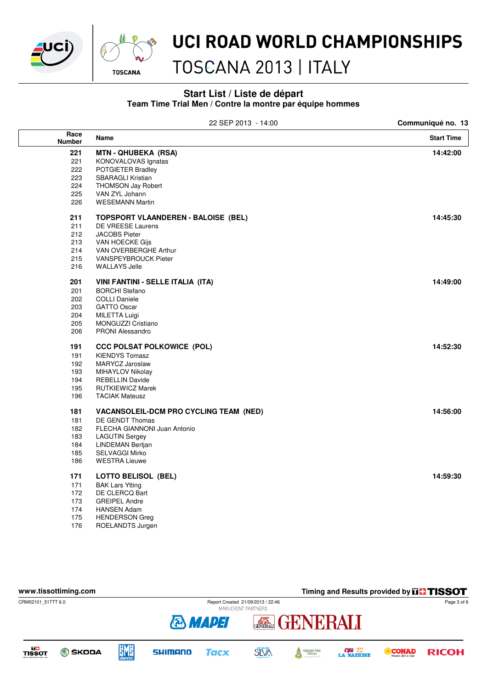



# TOSCANA 2013 | ITALY

#### **Start List / Liste de départ Team Time Trial Men / Contre la montre par équipe hommes**

| 22 SEP 2013 - 14:00   |                                               | Communiqué no. 13 |  |
|-----------------------|-----------------------------------------------|-------------------|--|
| Race<br><b>Number</b> | Name                                          | <b>Start Time</b> |  |
| 221                   | <b>MTN-QHUBEKA (RSA)</b>                      | 14:42:00          |  |
| 221                   | KONOVALOVAS Ignatas                           |                   |  |
| 222                   | POTGIETER Bradley                             |                   |  |
| 223                   | <b>SBARAGLI Kristian</b>                      |                   |  |
| 224                   | <b>THOMSON Jay Robert</b>                     |                   |  |
| 225                   | VAN ZYL Johann                                |                   |  |
| 226                   | <b>WESEMANN Martin</b>                        |                   |  |
| 211                   | <b>TOPSPORT VLAANDEREN - BALOISE (BEL)</b>    | 14:45:30          |  |
| 211                   | DE VREESE Laurens                             |                   |  |
| 212                   | <b>JACOBS Pieter</b>                          |                   |  |
| 213                   | VAN HOECKE Gijs                               |                   |  |
| 214                   | VAN OVERBERGHE Arthur                         |                   |  |
| 215                   | VANSPEYBROUCK Pieter                          |                   |  |
| 216                   | <b>WALLAYS Jelle</b>                          |                   |  |
| 201                   | VINI FANTINI - SELLE ITALIA (ITA)             | 14:49:00          |  |
| 201                   | <b>BORCHI</b> Stefano                         |                   |  |
| 202                   | <b>COLLI Daniele</b>                          |                   |  |
| 203                   | <b>GATTO Oscar</b>                            |                   |  |
| 204                   | <b>MILETTA Luigi</b>                          |                   |  |
| 205                   | MONGUZZI Cristiano                            |                   |  |
| 206                   | <b>PRONI Alessandro</b>                       |                   |  |
| 191                   | <b>CCC POLSAT POLKOWICE (POL)</b>             | 14:52:30          |  |
| 191                   | <b>KIENDYS Tomasz</b>                         |                   |  |
| 192                   | MARYCZ Jaroslaw                               |                   |  |
| 193                   | MIHAYLOV Nikolay                              |                   |  |
| 194                   | <b>REBELLIN Davide</b>                        |                   |  |
| 195                   | <b>RUTKIEWICZ Marek</b>                       |                   |  |
| 196                   | <b>TACIAK Mateusz</b>                         |                   |  |
| 181                   | <b>VACANSOLEIL-DCM PRO CYCLING TEAM (NED)</b> | 14:56:00          |  |
| 181                   | DE GENDT Thomas                               |                   |  |
| 182                   | FLECHA GIANNONI Juan Antonio                  |                   |  |
| 183                   | <b>LAGUTIN Sergey</b>                         |                   |  |
| 184                   | <b>LINDEMAN Bertjan</b>                       |                   |  |
| 185                   | <b>SELVAGGI Mirko</b>                         |                   |  |
| 186                   | <b>WESTRA Lieuwe</b>                          |                   |  |
| 171                   | <b>LOTTO BELISOL (BEL)</b>                    | 14:59:30          |  |
| 171                   | <b>BAK Lars Ytting</b>                        |                   |  |
| 172                   | DE CLERCQ Bart                                |                   |  |
| 173                   | <b>GREIPEL Andre</b>                          |                   |  |
| 174                   | <b>HANSEN Adam</b>                            |                   |  |

- 175 HENDERSON Greg
- 176 ROELANDTS Jurgen

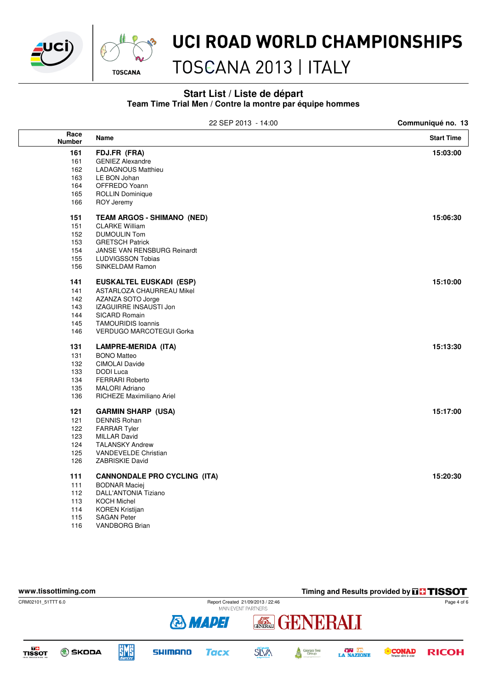



# TOSCANA 2013 | ITALY

#### **Start List / Liste de départ Team Time Trial Men / Contre la montre par équipe hommes**

|                       | 22 SEP 2013 - 14:00                 | Communiqué no. 13 |
|-----------------------|-------------------------------------|-------------------|
| Race<br><b>Number</b> | Name                                | <b>Start Time</b> |
| 161                   | FDJ.FR (FRA)                        | 15:03:00          |
| 161                   | <b>GENIEZ Alexandre</b>             |                   |
| 162                   | <b>LADAGNOUS Matthieu</b>           |                   |
| 163                   | LE BON Johan                        |                   |
| 164                   | OFFREDO Yoann                       |                   |
| 165                   | <b>ROLLIN Dominique</b>             |                   |
| 166                   | <b>ROY Jeremy</b>                   |                   |
| 151                   | <b>TEAM ARGOS - SHIMANO (NED)</b>   | 15:06:30          |
| 151                   | <b>CLARKE William</b>               |                   |
| 152                   | <b>DUMOULIN Tom</b>                 |                   |
| 153                   | <b>GRETSCH Patrick</b>              |                   |
| 154                   | JANSE VAN RENSBURG Reinardt         |                   |
| 155                   | <b>LUDVIGSSON Tobias</b>            |                   |
| 156                   | SINKELDAM Ramon                     |                   |
| 141                   | <b>EUSKALTEL EUSKADI (ESP)</b>      | 15:10:00          |
| 141                   | <b>ASTARLOZA CHAURREAU Mikel</b>    |                   |
| 142                   | AZANZA SOTO Jorge                   |                   |
| 143                   | IZAGUIRRE INSAUSTI Jon              |                   |
| 144                   | <b>SICARD Romain</b>                |                   |
| 145                   | <b>TAMOURIDIS Ioannis</b>           |                   |
| 146                   | <b>VERDUGO MARCOTEGUI Gorka</b>     |                   |
| 131                   | <b>LAMPRE-MERIDA (ITA)</b>          | 15:13:30          |
| 131                   | <b>BONO Matteo</b>                  |                   |
| 132                   | CIMOLAI Davide                      |                   |
| 133                   | DODI Luca                           |                   |
| 134                   | <b>FERRARI Roberto</b>              |                   |
| 135                   | <b>MALORI Adriano</b>               |                   |
| 136                   | RICHEZE Maximiliano Ariel           |                   |
| 121                   | <b>GARMIN SHARP (USA)</b>           | 15:17:00          |
| 121                   | <b>DENNIS Rohan</b>                 |                   |
| 122                   | <b>FARRAR Tyler</b>                 |                   |
| 123                   | <b>MILLAR David</b>                 |                   |
| 124                   | <b>TALANSKY Andrew</b>              |                   |
| 125                   | VANDEVELDE Christian                |                   |
| 126                   | ZABRISKIE David                     |                   |
| 111                   | <b>CANNONDALE PRO CYCLING (ITA)</b> | 15:20:30          |
| 111                   | <b>BODNAR Maciej</b>                |                   |
| 112                   | <b>DALL'ANTONIA Tiziano</b>         |                   |
| 113                   | <b>KOCH Michel</b>                  |                   |
| 114                   | <b>KOREN Kristijan</b>              |                   |
| 115                   | SAGAN Peter                         |                   |



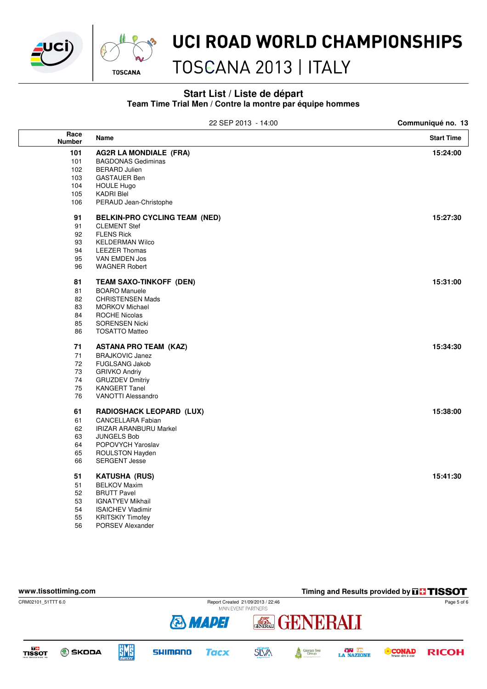



56 PORSEV Alexander

#### UCI ROAD WORLD CHAMPIONSHIPS

# TOSCANA 2013 | ITALY

#### **Start List / Liste de départ Team Time Trial Men / Contre la montre par équipe hommes**

|                       | 22 SEP 2013 - 14:00             | Communiqué no. 13 |
|-----------------------|---------------------------------|-------------------|
| Race<br><b>Number</b> | Name                            | <b>Start Time</b> |
| 101                   | <b>AG2R LA MONDIALE (FRA)</b>   | 15:24:00          |
| 101                   | <b>BAGDONAS Gediminas</b>       |                   |
| 102                   | <b>BERARD Julien</b>            |                   |
| 103                   | <b>GASTAUER Ben</b>             |                   |
| 104                   | <b>HOULE Hugo</b>               |                   |
| 105                   | <b>KADRI Blel</b>               |                   |
| 106                   | PERAUD Jean-Christophe          |                   |
| 91                    | BELKIN-PRO CYCLING TEAM (NED)   | 15:27:30          |
| 91                    | <b>CLEMENT Stef</b>             |                   |
| 92                    | <b>FLENS Rick</b>               |                   |
| 93                    | <b>KELDERMAN Wilco</b>          |                   |
| 94                    | <b>LEEZER Thomas</b>            |                   |
| 95                    | VAN EMDEN Jos                   |                   |
| 96                    | <b>WAGNER Robert</b>            |                   |
| 81                    | TEAM SAXO-TINKOFF (DEN)         | 15:31:00          |
| 81                    | <b>BOARO</b> Manuele            |                   |
| 82                    | <b>CHRISTENSEN Mads</b>         |                   |
| 83                    | <b>MORKOV Michael</b>           |                   |
| 84                    | <b>ROCHE Nicolas</b>            |                   |
| 85                    | <b>SORENSEN Nicki</b>           |                   |
| 86                    | <b>TOSATTO Matteo</b>           |                   |
| 71                    | <b>ASTANA PRO TEAM (KAZ)</b>    | 15:34:30          |
| 71                    | <b>BRAJKOVIC Janez</b>          |                   |
| 72                    | <b>FUGLSANG Jakob</b>           |                   |
| 73                    | <b>GRIVKO Andriy</b>            |                   |
| 74                    | <b>GRUZDEV Dmitriy</b>          |                   |
| 75                    | <b>KANGERT Tanel</b>            |                   |
| 76                    | <b>VANOTTI Alessandro</b>       |                   |
| 61                    | <b>RADIOSHACK LEOPARD (LUX)</b> | 15:38:00          |
| 61                    | <b>CANCELLARA Fabian</b>        |                   |
| 62                    | <b>IRIZAR ARANBURU Markel</b>   |                   |
| 63                    | <b>JUNGELS Bob</b>              |                   |
| 64                    | POPOVYCH Yaroslav               |                   |
| 65                    | ROULSTON Hayden                 |                   |
| 66                    | <b>SERGENT Jesse</b>            |                   |
| 51                    | <b>KATUSHA (RUS)</b>            | 15:41:30          |
| 51                    | <b>BELKOV Maxim</b>             |                   |
| 52                    | <b>BRUTT Pavel</b>              |                   |
| 53                    | <b>IGNATYEV Mikhail</b>         |                   |
| 54                    | <b>ISAICHEV Vladimir</b>        |                   |
| 55                    | <b>KRITSKIY Timofev</b>         |                   |